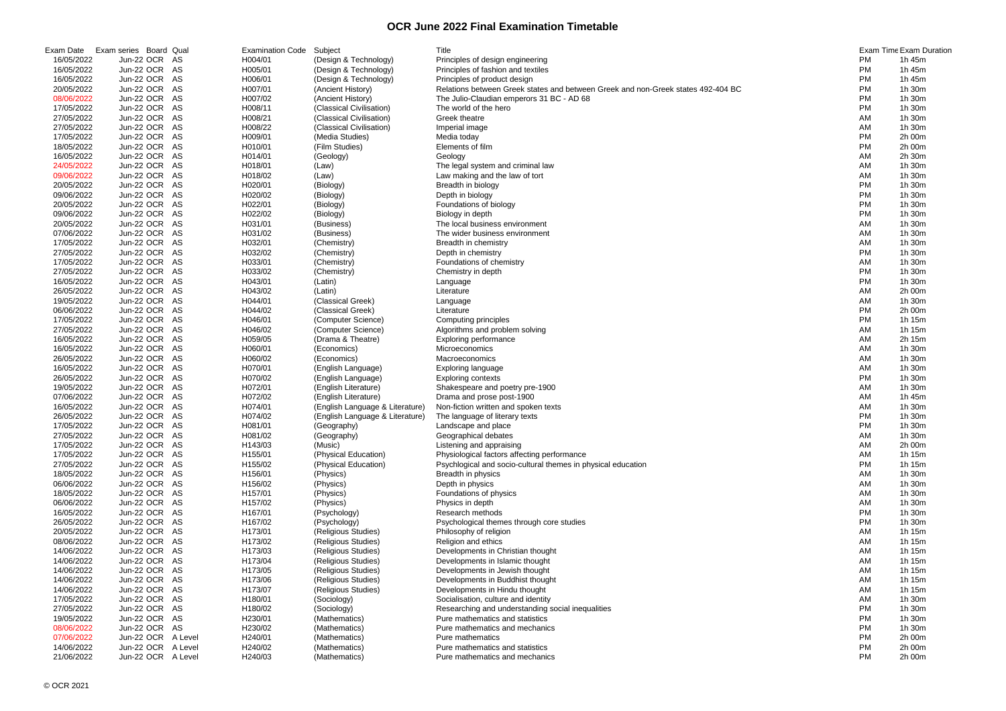| Exam Date  | Exam series Board Qual | <b>Examination Code</b> | Subject                         | Title                                                                            |           | <b>Exam Time Exam Duration</b> |
|------------|------------------------|-------------------------|---------------------------------|----------------------------------------------------------------------------------|-----------|--------------------------------|
| 16/05/2022 | Jun-22 OCR AS          | H004/01                 | (Design & Technology)           | Principles of design engineering                                                 | PM.       | 1h 45m                         |
| 16/05/2022 | Jun-22 OCR AS          | H005/01                 | (Design & Technology)           | Principles of fashion and textiles                                               | PM        | 1h 45m                         |
| 16/05/2022 | Jun-22 OCR AS          | H006/01                 | (Design & Technology)           | Principles of product design                                                     | <b>PM</b> | 1h 45m                         |
| 20/05/2022 | Jun-22 OCR AS          | H007/01                 | (Ancient History)               | Relations between Greek states and between Greek and non-Greek states 492-404 BC | PM        | 1h 30m                         |
| 08/06/2022 | Jun-22 OCR AS          | H007/02                 | (Ancient History)               | The Julio-Claudian emperors 31 BC - AD 68                                        | PM        | 1h 30m                         |
| 17/05/2022 | Jun-22 OCR AS          | H008/11                 | (Classical Civilisation)        | The world of the hero                                                            | PM        | 1h 30m                         |
| 27/05/2022 | Jun-22 OCR AS          | H008/21                 | (Classical Civilisation)        | Greek theatre                                                                    | AM        | 1h 30m                         |
| 27/05/2022 | Jun-22 OCR AS          | H008/22                 | (Classical Civilisation)        | Imperial image                                                                   | AM        | 1h 30m                         |
| 17/05/2022 | Jun-22 OCR AS          | H009/01                 | (Media Studies)                 | Media today                                                                      | <b>PM</b> | 2h 00m                         |
| 18/05/2022 | Jun-22 OCR AS          | H010/01                 | (Film Studies)                  | Elements of film                                                                 | PM        | 2h 00m                         |
| 16/05/2022 | Jun-22 OCR AS          | H014/01                 | (Geology)                       | Geology                                                                          | AM        | 2h 30m                         |
| 24/05/2022 | Jun-22 OCR AS          | H018/01                 | (Law)                           | The legal system and criminal law                                                | AM        | 1h 30m                         |
| 09/06/2022 | Jun-22 OCR AS          | H018/02                 |                                 | Law making and the law of tort                                                   | AM        | 1h 30m                         |
| 20/05/2022 |                        |                         | (Law)                           |                                                                                  | <b>PM</b> | 1h 30m                         |
|            | Jun-22 OCR AS          | H020/01                 | (Biology)                       | Breadth in biology                                                               |           |                                |
| 09/06/2022 | Jun-22 OCR AS          | H020/02                 | (Biology)                       | Depth in biology                                                                 | <b>PM</b> | 1h 30m                         |
| 20/05/2022 | Jun-22 OCR AS          | H022/01                 | (Biology)                       | Foundations of biology                                                           | <b>PM</b> | 1h 30m                         |
| 09/06/2022 | Jun-22 OCR AS          | H022/02                 | (Biology)                       | Biology in depth                                                                 | <b>PM</b> | 1h 30m                         |
| 20/05/2022 | Jun-22 OCR AS          | H031/01                 | (Business)                      | The local business environment                                                   | AM        | 1h 30m                         |
| 07/06/2022 | Jun-22 OCR AS          | H031/02                 | (Business)                      | The wider business environment                                                   | AM        | 1h 30m                         |
| 17/05/2022 | Jun-22 OCR AS          | H032/01                 | (Chemistry)                     | Breadth in chemistry                                                             | AM        | 1h 30m                         |
| 27/05/2022 | Jun-22 OCR AS          | H032/02                 | (Chemistry)                     | Depth in chemistry                                                               | PM        | 1h 30m                         |
| 17/05/2022 | Jun-22 OCR AS          | H033/01                 | (Chemistry)                     | Foundations of chemistry                                                         | AM        | 1h 30m                         |
| 27/05/2022 | Jun-22 OCR AS          | H033/02                 | (Chemistry)                     | Chemistry in depth                                                               | PM        | 1h 30m                         |
| 16/05/2022 | Jun-22 OCR AS          | H043/01                 | (Latin)                         | Language                                                                         | PM        | 1h 30m                         |
| 26/05/2022 | Jun-22 OCR AS          | H043/02                 | (Latin)                         | Literature                                                                       | AM        | 2h 00m                         |
| 19/05/2022 | Jun-22 OCR AS          | H044/01                 | (Classical Greek)               | Language                                                                         | AM        | 1h 30m                         |
| 06/06/2022 | Jun-22 OCR AS          | H044/02                 | (Classical Greek)               | Literature                                                                       | PM        | 2h 00m                         |
| 17/05/2022 | Jun-22 OCR AS          | H046/01                 | (Computer Science)              | Computing principles                                                             | PM        | 1h 15m                         |
| 27/05/2022 | Jun-22 OCR AS          | H046/02                 | (Computer Science)              | Algorithms and problem solving                                                   | AM        | 1h 15m                         |
| 16/05/2022 | Jun-22 OCR AS          | H059/05                 | (Drama & Theatre)               | <b>Exploring performance</b>                                                     | AM        | 2h 15m                         |
| 16/05/2022 | Jun-22 OCR AS          | H060/01                 | (Economics)                     | Microeconomics                                                                   | AM        | 1h 30m                         |
| 26/05/2022 | Jun-22 OCR AS          | H060/02                 | (Economics)                     | Macroeconomics                                                                   | AM        | 1h 30m                         |
| 16/05/2022 | Jun-22 OCR AS          | H070/01                 | (English Language)              | <b>Exploring language</b>                                                        | AM        | 1h 30m                         |
| 26/05/2022 | Jun-22 OCR AS          | H070/02                 | (English Language)              | <b>Exploring contexts</b>                                                        | PM        | 1h 30m                         |
| 19/05/2022 | Jun-22 OCR AS          | H072/01                 | (English Literature)            | Shakespeare and poetry pre-1900                                                  | AM        | 1h 30m                         |
| 07/06/2022 | Jun-22 OCR AS          | H072/02                 | (English Literature)            | Drama and prose post-1900                                                        | AM        | 1h 45m                         |
|            |                        |                         |                                 |                                                                                  |           |                                |
| 16/05/2022 | Jun-22 OCR AS          | H074/01                 | (English Language & Literature) | Non-fiction written and spoken texts                                             | AM        | 1h 30m                         |
| 26/05/2022 | Jun-22 OCR AS          | H074/02                 | (English Language & Literature) | The language of literary texts                                                   | <b>PM</b> | 1h 30m                         |
| 17/05/2022 | Jun-22 OCR AS          | H081/01                 | (Geography)                     | Landscape and place                                                              | PM        | 1h 30m                         |
| 27/05/2022 | Jun-22 OCR AS          | H081/02                 | (Geography)                     | Geographical debates                                                             | AM        | 1h 30m                         |
| 17/05/2022 | Jun-22 OCR AS          | H143/03                 | (Music)                         | Listening and appraising                                                         | AM        | 2h 00m                         |
| 17/05/2022 | Jun-22 OCR AS          | H155/01                 | (Physical Education)            | Physiological factors affecting performance                                      | AM        | 1h 15m                         |
| 27/05/2022 | Jun-22 OCR AS          | H155/02                 | (Physical Education)            | Psychlogical and socio-cultural themes in physical education                     | PM        | 1h 15m                         |
| 18/05/2022 | Jun-22 OCR AS          | H156/01                 | (Physics)                       | Breadth in physics                                                               | AM        | 1h 30m                         |
| 06/06/2022 | Jun-22 OCR AS          | H156/02                 | (Physics)                       | Depth in physics                                                                 | AM        | 1h 30m                         |
| 18/05/2022 | Jun-22 OCR AS          | H157/01                 | (Physics)                       | Foundations of physics                                                           | AM        | 1h 30m                         |
| 06/06/2022 | Jun-22 OCR AS          | H157/02                 | (Physics)                       | Physics in depth                                                                 | AM        | 1h 30m                         |
| 16/05/2022 | Jun-22 OCR AS          | H167/01                 | (Psychology)                    | Research methods                                                                 | PM        | 1h 30m                         |
| 26/05/2022 | Jun-22 OCR AS          | H167/02                 | (Psychology)                    | Psychological themes through core studies                                        | PM        | 1h 30m                         |
| 20/05/2022 | Jun-22 OCR AS          | H173/01                 | (Religious Studies)             | Philosophy of religion                                                           | AM        | 1h 15m                         |
| 08/06/2022 | Jun-22 OCR AS          | H173/02                 | (Religious Studies)             | Religion and ethics                                                              | AM        | 1h 15m                         |
| 14/06/2022 | Jun-22 OCR AS          | H173/03                 | (Religious Studies)             | Developments in Christian thought                                                | AM        | 1h 15m                         |
| 14/06/2022 | Jun-22 OCR AS          | H173/04                 | (Religious Studies)             | Developments in Islamic thought                                                  | AM        | 1h 15m                         |
| 14/06/2022 | Jun-22 OCR AS          | H173/05                 | (Religious Studies)             | Developments in Jewish thought                                                   | AM        | 1h 15m                         |
| 14/06/2022 | Jun-22 OCR AS          | H173/06                 | (Religious Studies)             | Developments in Buddhist thought                                                 | AM        | 1h 15m                         |
| 14/06/2022 | Jun-22 OCR AS          | H173/07                 | (Religious Studies)             | Developments in Hindu thought                                                    | AM        | 1h 15m                         |
| 17/05/2022 | Jun-22 OCR AS          | H180/01                 | (Sociology)                     | Socialisation, culture and identity                                              | AM        | 1h 30m                         |
| 27/05/2022 | Jun-22 OCR AS          | H180/02                 | (Sociology)                     | Researching and understanding social inequalities                                | PM        | 1h 30m                         |
| 19/05/2022 | Jun-22 OCR AS          | H230/01                 | (Mathematics)                   | Pure mathematics and statistics                                                  | PM        | 1h 30m                         |
| 08/06/2022 | Jun-22 OCR AS          | H230/02                 | (Mathematics)                   | Pure mathematics and mechanics                                                   | PM        | 1h 30m                         |
| 07/06/2022 | Jun-22 OCR A Level     | H240/01                 | (Mathematics)                   | Pure mathematics                                                                 | PM        | 2h 00m                         |
| 14/06/2022 | Jun-22 OCR A Level     | H240/02                 | (Mathematics)                   | Pure mathematics and statistics                                                  | PM        | 2h 00m                         |
| 21/06/2022 | Jun-22 OCR A Level     | H240/03                 | (Mathematics)                   | Pure mathematics and mechanics                                                   | PM        | 2h 00m                         |
|            |                        |                         |                                 |                                                                                  |           |                                |

|    | Exam Time Exam Duratio |
|----|------------------------|
| PM | 1h 45m                 |
| PM | 1h 45m                 |
| PM | 1h 45m                 |
|    |                        |
| PM | 1h 30m                 |
| РM | 30 <sub>m</sub><br>1h. |
| PM | 1h 30m                 |
| AM | 1h 30m                 |
| AM | 1h 30m                 |
|    |                        |
| PM | 2h 00m                 |
| PM | 2h 00m                 |
| AM | 2h 30m                 |
| AM | 1h 30m                 |
| AM | 1h 30m                 |
| PM | 1h 30m                 |
|    | 1h 30m                 |
| PM |                        |
| PM | 1h 30m                 |
| PM | 1h 30m                 |
| АM | 1h 30m                 |
| ΑM | 1h 30m                 |
| AM | 1h 30m                 |
| PM |                        |
|    | 1h 30m                 |
| AM | 1h 30m                 |
| PM | 1h 30m                 |
| РM | 1h 30m                 |
| AM | 2h 00m                 |
| AM | 1h 30m                 |
|    |                        |
| PM | 2h 00m                 |
| РM | 1h 15m                 |
| ΑM | 1h 15m                 |
| AM | 2h 15m                 |
| ΑM | 1h 30m                 |
| AM | 1h 30m                 |
| AM |                        |
|    | 1h 30m                 |
| PM | 1h 30m                 |
| AM | 1h 30m                 |
| ΑM | 1h 45m                 |
| AM | 1h 30m                 |
| PM | 1h 30m                 |
| PM | 1h 30m                 |
|    |                        |
| AM | 1h 30m                 |
| AM | 2h 00m                 |
| АM | 1h 15m                 |
| PM | 1h 15m                 |
| AM | 1h 30m                 |
| AM | 1h 30m                 |
| AM | 30 <sub>m</sub><br>1h. |
|    |                        |
| AM | 1h 30m                 |
| РM | 1h 30m                 |
| PM | 1h 30m                 |
| AM | 1h 15m                 |
| ΑM | 1h 15m                 |
|    | 1h 15m                 |
| ΑM |                        |
| AM | 1h 15m                 |
| AM | 1h.<br>15m             |
| AM | 15m<br>1h.             |
| AM | 1h 15m                 |
| AM | 1h 30m                 |
| PM | 1h 30m                 |
|    |                        |
| PM | 1h 30m                 |
| PM | 1h 30m                 |
| PM | 2h 00m                 |
| РM | 2h 00m                 |
| РM | 2h 00m                 |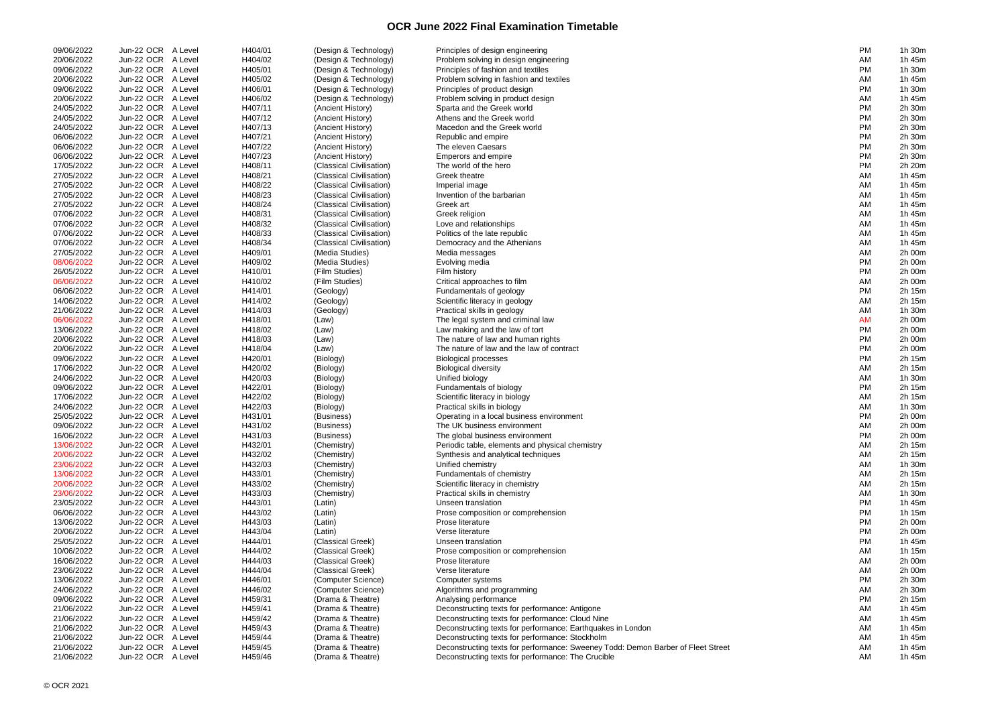| 09/06/2022 | Jun-22 OCR A Level | H404/01 | (Design & Technology)    | Principles of design engineering                                                 | <b>PM</b> | 1h 30m |
|------------|--------------------|---------|--------------------------|----------------------------------------------------------------------------------|-----------|--------|
| 20/06/2022 | Jun-22 OCR A Level | H404/02 | (Design & Technology)    | Problem solving in design engineering                                            | AM        | 1h 45m |
| 09/06/2022 | Jun-22 OCR A Level | H405/01 | (Design & Technology)    | Principles of fashion and textiles                                               | PM        | 1h 30m |
| 20/06/2022 | Jun-22 OCR A Level | H405/02 | (Design & Technology)    | Problem solving in fashion and textiles                                          | AM        | 1h 45m |
| 09/06/2022 | Jun-22 OCR A Level | H406/01 | (Design & Technology)    | Principles of product design                                                     | PM        | 1h 30m |
| 20/06/2022 | Jun-22 OCR A Level | H406/02 | (Design & Technology)    | Problem solving in product design                                                | AM        | 1h 45m |
| 24/05/2022 | Jun-22 OCR A Level | H407/11 | (Ancient History)        | Sparta and the Greek world                                                       | PM        | 2h 30m |
| 24/05/2022 | Jun-22 OCR A Level | H407/12 | (Ancient History)        | Athens and the Greek world                                                       | PM        | 2h 30m |
| 24/05/2022 | Jun-22 OCR A Level | H407/13 | (Ancient History)        | Macedon and the Greek world                                                      | PM        | 2h 30m |
|            |                    |         |                          |                                                                                  | PM        |        |
| 06/06/2022 | Jun-22 OCR A Level | H407/21 | (Ancient History)        | Republic and empire                                                              |           | 2h 30m |
| 06/06/2022 | Jun-22 OCR A Level | H407/22 | (Ancient History)        | The eleven Caesars                                                               | PM        | 2h 30m |
| 06/06/2022 | Jun-22 OCR A Level | H407/23 | (Ancient History)        | Emperors and empire                                                              | PM        | 2h 30m |
| 17/05/2022 | Jun-22 OCR A Level | H408/11 | (Classical Civilisation) | The world of the hero                                                            | PM        | 2h 20m |
| 27/05/2022 | Jun-22 OCR A Level | H408/21 | (Classical Civilisation) | Greek theatre                                                                    | AM        | 1h 45m |
| 27/05/2022 | Jun-22 OCR A Level | H408/22 | (Classical Civilisation) | Imperial image                                                                   | AM        | 1h 45m |
| 27/05/2022 | Jun-22 OCR A Level | H408/23 | (Classical Civilisation) | Invention of the barbarian                                                       | AM        | 1h 45m |
| 27/05/2022 | Jun-22 OCR A Level | H408/24 | (Classical Civilisation) | Greek art                                                                        | AM        | 1h 45m |
| 07/06/2022 | Jun-22 OCR A Level | H408/31 | (Classical Civilisation) | Greek religion                                                                   | AM        | 1h 45m |
| 07/06/2022 | Jun-22 OCR A Level | H408/32 | (Classical Civilisation) | Love and relationships                                                           | AM        | 1h 45m |
| 07/06/2022 | Jun-22 OCR A Level | H408/33 | (Classical Civilisation) | Politics of the late republic                                                    | AM        | 1h 45m |
|            | Jun-22 OCR A Level |         |                          |                                                                                  | AM        |        |
| 07/06/2022 |                    | H408/34 | (Classical Civilisation) | Democracy and the Athenians                                                      |           | 1h 45m |
| 27/05/2022 | Jun-22 OCR A Level | H409/01 | (Media Studies)          | Media messages                                                                   | AM        | 2h 00m |
| 08/06/2022 | Jun-22 OCR A Level | H409/02 | (Media Studies)          | Evolving media                                                                   | PM        | 2h 00m |
| 26/05/2022 | Jun-22 OCR A Level | H410/01 | (Film Studies)           | Film history                                                                     | PM        | 2h 00m |
| 06/06/2022 | Jun-22 OCR A Level | H410/02 | (Film Studies)           | Critical approaches to film                                                      | AM        | 2h 00m |
| 06/06/2022 | Jun-22 OCR A Level | H414/01 | (Geology)                | Fundamentals of geology                                                          | PM        | 2h 15m |
| 14/06/2022 | Jun-22 OCR A Level | H414/02 | (Geology)                | Scientific literacy in geology                                                   | AM        | 2h 15m |
| 21/06/2022 | Jun-22 OCR A Level | H414/03 | (Geology)                | Practical skills in geology                                                      | AM        | 1h 30m |
| 06/06/2022 | Jun-22 OCR A Level | H418/01 | (Law)                    | The legal system and criminal law                                                | AM        | 2h 00m |
| 13/06/2022 | Jun-22 OCR A Level | H418/02 | (Law)                    | Law making and the law of tort                                                   | PM        | 2h 00m |
| 20/06/2022 | Jun-22 OCR A Level | H418/03 | (Law)                    | The nature of law and human rights                                               | PM        | 2h 00m |
| 20/06/2022 | Jun-22 OCR A Level | H418/04 |                          | The nature of law and the law of contract                                        | PM        | 2h 00m |
|            | Jun-22 OCR A Level |         | (Law)                    |                                                                                  |           |        |
| 09/06/2022 |                    | H420/01 | (Biology)                | <b>Biological processes</b>                                                      | PM        | 2h 15m |
| 17/06/2022 | Jun-22 OCR A Level | H420/02 | (Biology)                | <b>Biological diversity</b>                                                      | AM        | 2h 15m |
| 24/06/2022 | Jun-22 OCR A Level | H420/03 | (Biology)                | Unified biology                                                                  | AM        | 1h 30m |
| 09/06/2022 | Jun-22 OCR A Level | H422/01 | (Biology)                | Fundamentals of biology                                                          | PM        | 2h 15m |
| 17/06/2022 | Jun-22 OCR A Level | H422/02 | (Biology)                | Scientific literacy in biology                                                   | AM        | 2h 15m |
| 24/06/2022 | Jun-22 OCR A Level | H422/03 | (Biology)                | Practical skills in biology                                                      | AM        | 1h 30m |
| 25/05/2022 | Jun-22 OCR A Level | H431/01 | (Business)               | Operating in a local business environment                                        | <b>PM</b> | 2h 00m |
| 09/06/2022 | Jun-22 OCR A Level | H431/02 | (Business)               | The UK business environment                                                      | AM        | 2h 00m |
| 16/06/2022 | Jun-22 OCR A Level | H431/03 | (Business)               | The global business environment                                                  | PM        | 2h 00m |
| 13/06/2022 | Jun-22 OCR A Level | H432/01 | (Chemistry)              | Periodic table, elements and physical chemistry                                  | AM        | 2h 15m |
| 20/06/2022 | Jun-22 OCR A Level | H432/02 | (Chemistry)              | Synthesis and analytical techniques                                              | AM        | 2h 15m |
| 23/06/2022 | Jun-22 OCR A Level | H432/03 | (Chemistry)              | Unified chemistry                                                                | AM        | 1h 30m |
| 13/06/2022 | Jun-22 OCR A Level | H433/01 |                          |                                                                                  |           |        |
|            |                    |         | (Chemistry)              | Fundamentals of chemistry                                                        | AM        | 2h 15m |
| 20/06/2022 | Jun-22 OCR A Level | H433/02 | (Chemistry)              | Scientific literacy in chemistry                                                 | AM        | 2h 15m |
| 23/06/2022 | Jun-22 OCR A Level | H433/03 | (Chemistry)              | Practical skills in chemistry                                                    | AM        | 1h 30m |
| 23/05/2022 | Jun-22 OCR A Level | H443/01 | (Latin)                  | Unseen translation                                                               | PM        | 1h 45m |
| 06/06/2022 | Jun-22 OCR A Level | H443/02 | (Latin)                  | Prose composition or comprehension                                               | PM        | 1h 15m |
| 13/06/2022 | Jun-22 OCR A Level | H443/03 | (Latin)                  | Prose literature                                                                 | PM        | 2h 00m |
| 20/06/2022 | Jun-22 OCR A Level | H443/04 | (Latin)                  | Verse literature                                                                 | PM        | 2h 00m |
| 25/05/2022 | Jun-22 OCR A Level | H444/01 | (Classical Greek)        | Unseen translation                                                               | PM        | 1h 45m |
| 10/06/2022 | Jun-22 OCR A Level | H444/02 | (Classical Greek)        | Prose composition or comprehension                                               | AM        | 1h 15m |
| 16/06/2022 | Jun-22 OCR A Level | H444/03 | (Classical Greek)        | Prose literature                                                                 | AM        | 2h 00m |
| 23/06/2022 | Jun-22 OCR A Level | H444/04 | (Classical Greek)        | Verse literature                                                                 | AM        | 2h 00m |
| 13/06/2022 | Jun-22 OCR A Level | H446/01 | (Computer Science)       | Computer systems                                                                 | PM        | 2h 30m |
| 24/06/2022 | Jun-22 OCR A Level | H446/02 | (Computer Science)       | Algorithms and programming                                                       | AM        | 2h 30m |
| 09/06/2022 | Jun-22 OCR A Level | H459/31 |                          |                                                                                  | PM        |        |
|            |                    |         | (Drama & Theatre)        | Analysing performance                                                            |           | 2h 15m |
| 21/06/2022 | Jun-22 OCR A Level | H459/41 | (Drama & Theatre)        | Deconstructing texts for performance: Antigone                                   | AM        | 1h 45m |
| 21/06/2022 | Jun-22 OCR A Level | H459/42 | (Drama & Theatre)        | Deconstructing texts for performance: Cloud Nine                                 | AM        | 1h 45m |
| 21/06/2022 | Jun-22 OCR A Level | H459/43 | (Drama & Theatre)        | Deconstructing texts for performance: Earthquakes in London                      | AM        | 1h 45m |
| 21/06/2022 | Jun-22 OCR A Level | H459/44 | (Drama & Theatre)        | Deconstructing texts for performance: Stockholm                                  | AM        | 1h 45m |
| 21/06/2022 | Jun-22 OCR A Level | H459/45 | (Drama & Theatre)        | Deconstructing texts for performance: Sweeney Todd: Demon Barber of Fleet Street | AM        | 1h 45m |
| 21/06/2022 | Jun-22 OCR A Level | H459/46 | (Drama & Theatre)        | Deconstructing texts for performance: The Crucible                               | AM        | 1h 45m |

| PM        | 1h 30m                 |
|-----------|------------------------|
| AM        | 1h 45m                 |
| ΡM        | 1h.<br>30m             |
| AM        | 1h 45m                 |
| РM        | 1h 30m                 |
| AM        | 1h 45m                 |
| ΡM        | 2h 30m                 |
| РM        | 30 <sub>m</sub><br>2h. |
| PM        | 2h 30m                 |
| PM        | 2h 30m                 |
| ΡM        | 2h 30m                 |
| PM        | 2h 30m                 |
| ΡM        | 2h<br>20 <sub>m</sub>  |
| AM        | 1h 45m                 |
| AM        | 1h 45m                 |
| AM        | 1h 45m                 |
| AM        | 1h 45m                 |
| AM        | 1h 45m                 |
| AM        | 1h 45m                 |
| AM        | 1h 45m                 |
| AM        | 1h 45m                 |
| AM        | 2h 00m                 |
| РM        | 2h 00m                 |
| ΡM        | 2h 00m                 |
| AM        | 2h 00m                 |
| PM        | 2h 15m                 |
| AM        | 2h<br>15m              |
| AM        | 30 <sub>m</sub><br>1h  |
|           | 2h 00m                 |
| AM<br>PM  | 2h 00m                 |
|           |                        |
| ΡM        | 2h 00m                 |
| РM        | 2h 00m                 |
| РM        | 2h 15m                 |
| AM        | 2h 15m                 |
| AM        | 1h<br>30 <sub>m</sub>  |
| ΡM        | 2h 15m                 |
| AM        | 2h 15m                 |
| AM        | 1h.<br>30 <sub>m</sub> |
| ΡM        | 2h 00m                 |
| АM        | 2h 00m                 |
| PM        | 2h 00m                 |
| AM        | 2h 15m                 |
| AM        | 2h 15m                 |
| AM        | 1h<br>30m              |
| AM        | 2h 15m<br>2h 15m       |
| AM        |                        |
| AM        | 30 <sub>m</sub><br>1h  |
| <b>PM</b> | 1h 45m                 |
| PM        | 1h 15m                 |
| PM        | 2h 00m                 |
| РM        | 2h 00m                 |
| РM        | 1h 45m                 |
| AM        | 1h 15m                 |
| AM        | 2h 00m                 |
| AM        | 2h 00m                 |
| РM        | 30 <sub>m</sub><br>2h  |
| ΑM        | 30 <sub>m</sub><br>2h  |
| PM        | 2h 15m                 |
| ΑM        | 1h 45m                 |
| AM        | 1h 45m                 |
| AM        | 1h 45m                 |
| AM        | 1h 45m                 |
| AM        | 1h 45m                 |
| AM        | 1h 45m                 |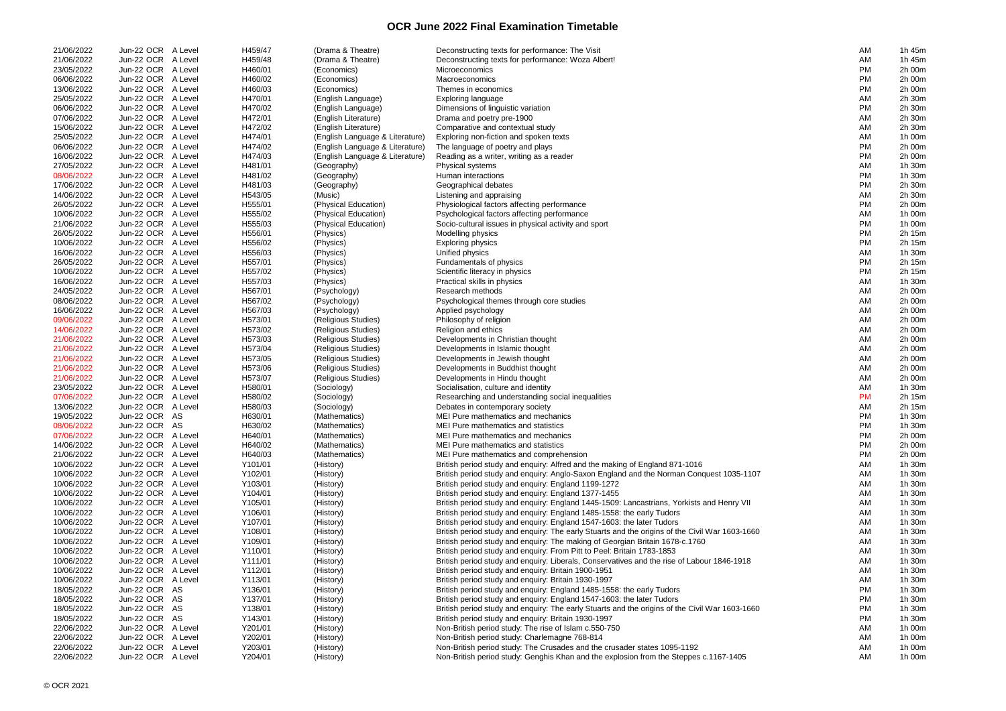| 21/06/2022 | Jun-22 OCR A Level | H459/47 | (Drama & Theatre)               | Deconstructing texts for performance: The Visit                                                | AM        | 1h 45m |
|------------|--------------------|---------|---------------------------------|------------------------------------------------------------------------------------------------|-----------|--------|
| 21/06/2022 | Jun-22 OCR A Level | H459/48 | (Drama & Theatre)               | Deconstructing texts for performance: Woza Albert!                                             | AM        | 1h 45m |
| 23/05/2022 | Jun-22 OCR A Level | H460/01 | (Economics)                     | Microeconomics                                                                                 | PM        | 2h 00m |
| 06/06/2022 | Jun-22 OCR A Level | H460/02 | (Economics)                     | Macroeconomics                                                                                 | PM        | 2h 00m |
| 13/06/2022 | Jun-22 OCR A Level | H460/03 | (Economics)                     | Themes in economics                                                                            | <b>PM</b> | 2h 00m |
| 25/05/2022 | Jun-22 OCR A Level | H470/01 | (English Language)              | <b>Exploring language</b>                                                                      | AM        | 2h 30m |
| 06/06/2022 | Jun-22 OCR A Level | H470/02 | (English Language)              | Dimensions of linguistic variation                                                             | <b>PM</b> | 2h 30m |
| 07/06/2022 | Jun-22 OCR A Level | H472/01 | (English Literature)            | Drama and poetry pre-1900                                                                      | AM        | 2h 30m |
| 15/06/2022 | Jun-22 OCR A Level | H472/02 | (English Literature)            | Comparative and contextual study                                                               | AM        | 2h 30m |
| 25/05/2022 | Jun-22 OCR A Level | H474/01 |                                 |                                                                                                | AM        |        |
|            |                    |         | (English Language & Literature) | Exploring non-fiction and spoken texts                                                         |           | 1h 00m |
| 06/06/2022 | Jun-22 OCR A Level | H474/02 | (English Language & Literature) | The language of poetry and plays                                                               | <b>PM</b> | 2h 00m |
| 16/06/2022 | Jun-22 OCR A Level | H474/03 | (English Language & Literature) | Reading as a writer, writing as a reader                                                       | PM        | 2h 00m |
| 27/05/2022 | Jun-22 OCR A Level | H481/01 | (Geography)                     | Physical systems                                                                               | AM        | 1h 30m |
| 08/06/2022 | Jun-22 OCR A Level | H481/02 | (Geography)                     | Human interactions                                                                             | <b>PM</b> | 1h 30m |
| 17/06/2022 | Jun-22 OCR A Level | H481/03 | (Geography)                     | Geographical debates                                                                           | <b>PM</b> | 2h 30m |
| 14/06/2022 | Jun-22 OCR A Level | H543/05 | (Music)                         | Listening and appraising                                                                       | AM        | 2h 30m |
| 26/05/2022 | Jun-22 OCR A Level | H555/01 | (Physical Education)            | Physiological factors affecting performance                                                    | <b>PM</b> | 2h 00m |
| 10/06/2022 | Jun-22 OCR A Level | H555/02 | (Physical Education)            | Psychological factors affecting performance                                                    | AM        | 1h 00m |
| 21/06/2022 | Jun-22 OCR A Level | H555/03 | (Physical Education)            | Socio-cultural issues in physical activity and sport                                           | PM        | 1h 00m |
| 26/05/2022 | Jun-22 OCR A Level | H556/01 | (Physics)                       | Modelling physics                                                                              | <b>PM</b> | 2h 15m |
|            |                    |         |                                 |                                                                                                | PM        |        |
| 10/06/2022 | Jun-22 OCR A Level | H556/02 | (Physics)                       | <b>Exploring physics</b>                                                                       |           | 2h 15m |
| 16/06/2022 | Jun-22 OCR A Level | H556/03 | (Physics)                       | Unified physics                                                                                | AM        | 1h 30m |
| 26/05/2022 | Jun-22 OCR A Level | H557/01 | (Physics)                       | Fundamentals of physics                                                                        | <b>PM</b> | 2h 15m |
| 10/06/2022 | Jun-22 OCR A Level | H557/02 | (Physics)                       | Scientific literacy in physics                                                                 | <b>PM</b> | 2h 15m |
| 16/06/2022 | Jun-22 OCR A Level | H557/03 | (Physics)                       | Practical skills in physics                                                                    | AM        | 1h 30m |
| 24/05/2022 | Jun-22 OCR A Level | H567/01 | (Psychology)                    | Research methods                                                                               | AM        | 2h 00m |
| 08/06/2022 | Jun-22 OCR A Level | H567/02 | (Psychology)                    | Psychological themes through core studies                                                      | AM        | 2h 00m |
| 16/06/2022 | Jun-22 OCR A Level | H567/03 | (Psychology)                    | Applied psychology                                                                             | AM        | 2h 00m |
| 09/06/2022 | Jun-22 OCR A Level | H573/01 | (Religious Studies)             | Philosophy of religion                                                                         | AM        | 2h 00m |
| 14/06/2022 | Jun-22 OCR A Level | H573/02 | (Religious Studies)             | Religion and ethics                                                                            | AM        | 2h 00m |
| 21/06/2022 | Jun-22 OCR A Level | H573/03 | (Religious Studies)             | Developments in Christian thought                                                              | AM        | 2h 00m |
| 21/06/2022 | Jun-22 OCR A Level | H573/04 | (Religious Studies)             | Developments in Islamic thought                                                                | AM        | 2h 00m |
|            |                    |         |                                 |                                                                                                |           |        |
| 21/06/2022 | Jun-22 OCR A Level | H573/05 | (Religious Studies)             | Developments in Jewish thought                                                                 | AM        | 2h 00m |
| 21/06/2022 | Jun-22 OCR A Level | H573/06 | (Religious Studies)             | Developments in Buddhist thought                                                               | AM        | 2h 00m |
| 21/06/2022 | Jun-22 OCR A Level | H573/07 | (Religious Studies)             | Developments in Hindu thought                                                                  | AM        | 2h 00m |
| 23/05/2022 | Jun-22 OCR A Level | H580/01 | (Sociology)                     | Socialisation, culture and identity                                                            | AM        | 1h 30m |
| 07/06/2022 | Jun-22 OCR A Level | H580/02 | (Sociology)                     | Researching and understanding social inequalities                                              | <b>PM</b> | 2h 15m |
| 13/06/2022 | Jun-22 OCR A Level | H580/03 | (Sociology)                     | Debates in contemporary society                                                                | AM        | 2h 15m |
| 19/05/2022 | Jun-22 OCR AS      | H630/01 | (Mathematics)                   | MEI Pure mathematics and mechanics                                                             | <b>PM</b> | 1h 30m |
| 08/06/2022 | Jun-22 OCR AS      | H630/02 | (Mathematics)                   | MEI Pure mathematics and statistics                                                            | PM        | 1h 30m |
| 07/06/2022 | Jun-22 OCR A Level | H640/01 | (Mathematics)                   | MEI Pure mathematics and mechanics                                                             | <b>PM</b> | 2h 00m |
| 14/06/2022 | Jun-22 OCR A Level | H640/02 | (Mathematics)                   | MEI Pure mathematics and statistics                                                            | PM        | 2h 00m |
| 21/06/2022 | Jun-22 OCR A Level | H640/03 | (Mathematics)                   | MEI Pure mathematics and comprehension                                                         | <b>PM</b> | 2h 00m |
| 10/06/2022 | Jun-22 OCR A Level | Y101/01 | (History)                       | British period study and enquiry: Alfred and the making of England 871-1016                    | AM        | 1h 30m |
| 10/06/2022 | Jun-22 OCR A Level |         |                                 |                                                                                                |           |        |
|            |                    | Y102/01 | (History)                       | British period study and enquiry: Anglo-Saxon England and the Norman Conquest 1035-1107        | AM        | 1h 30m |
| 10/06/2022 | Jun-22 OCR A Level | Y103/01 | (History)                       | British period study and enquiry: England 1199-1272                                            | AM        | 1h 30m |
| 10/06/2022 | Jun-22 OCR A Level | Y104/01 | (History)                       | British period study and enquiry: England 1377-1455                                            | AM        | 1h 30m |
| 10/06/2022 | Jun-22 OCR A Level | Y105/01 | (History)                       | British period study and enquiry: England 1445-1509: Lancastrians, Yorkists and Henry VII      | AM        | 1h 30m |
| 10/06/2022 | Jun-22 OCR A Level | Y106/01 | (History)                       | British period study and enquiry: England 1485-1558: the early Tudors                          | AM        | 1h 30m |
| 10/06/2022 | Jun-22 OCR A Level | Y107/01 | (History)                       | British period study and enquiry: England 1547-1603: the later Tudors                          | AM        | 1h 30m |
| 10/06/2022 | Jun-22 OCR A Level | Y108/01 | (History)                       | British period study and enquiry: The early Stuarts and the origins of the Civil War 1603-1660 | AM        | 1h 30m |
| 10/06/2022 | Jun-22 OCR A Level | Y109/01 | (History)                       | British period study and enquiry: The making of Georgian Britain 1678-c.1760                   | AM        | 1h 30m |
| 10/06/2022 | Jun-22 OCR A Level | Y110/01 | (History)                       | British period study and enquiry: From Pitt to Peel: Britain 1783-1853                         | AM        | 1h 30m |
| 10/06/2022 | Jun-22 OCR A Level | Y111/01 | (History)                       | British period study and enquiry: Liberals, Conservatives and the rise of Labour 1846-1918     | AM        | 1h 30m |
| 10/06/2022 | Jun-22 OCR A Level | Y112/01 | (History)                       | British period study and enquiry: Britain 1900-1951                                            | AM        | 1h 30m |
| 10/06/2022 | Jun-22 OCR A Level | Y113/01 | (History)                       | British period study and enquiry: Britain 1930-1997                                            | AM        | 1h 30m |
| 18/05/2022 | Jun-22 OCR AS      | Y136/01 | (History)                       | British period study and enquiry: England 1485-1558: the early Tudors                          | <b>PM</b> | 1h 30m |
| 18/05/2022 | Jun-22 OCR AS      | Y137/01 |                                 | British period study and enquiry: England 1547-1603: the later Tudors                          | <b>PM</b> | 1h 30m |
|            |                    |         | (History)                       |                                                                                                |           |        |
| 18/05/2022 | Jun-22 OCR AS      | Y138/01 | (History)                       | British period study and enquiry: The early Stuarts and the origins of the Civil War 1603-1660 | PM        | 1h 30m |
| 18/05/2022 | Jun-22 OCR AS      | Y143/01 | (History)                       | British period study and enquiry: Britain 1930-1997                                            | PM        | 1h 30m |
| 22/06/2022 | Jun-22 OCR A Level | Y201/01 | (History)                       | Non-British period study: The rise of Islam c.550-750                                          | AM        | 1h 00m |
| 22/06/2022 | Jun-22 OCR A Level | Y202/01 | (History)                       | Non-British period study: Charlemagne 768-814                                                  | AM        | 1h 00m |
| 22/06/2022 | Jun-22 OCR A Level | Y203/01 | (History)                       | Non-British period study: The Crusades and the crusader states 1095-1192                       | AM        | 1h 00m |
| 22/06/2022 | Jun-22 OCR A Level | Y204/01 | (History)                       | Non-British period study: Genghis Khan and the explosion from the Steppes c.1167-1405          | AM        | 1h 00m |

| AM       | 1h 45m                                   |
|----------|------------------------------------------|
| AM       | 1h 45m                                   |
| PM       | 2h 00m                                   |
| PM       | 2h 00m                                   |
| PM       | 2h 00m                                   |
| AM       | 2h 30m                                   |
| PM       | 2h 30m                                   |
| AM       | 2h 30m                                   |
| AM       | 2h 30m                                   |
| AM       | 1h 00m                                   |
| PM       | 2h 00m                                   |
| РM       | 2h 00m                                   |
| AM       | 1h 30m                                   |
| PM<br>PM | 30m<br>1h<br>2h<br>30 <sub>m</sub>       |
| AM       | 2h<br>30m                                |
| PM       | 2h 00m                                   |
| AM       | 1h 00m                                   |
| ΡM       | 1h 00m                                   |
| РM       | 2h 15m                                   |
| ΡM       | 2h 15m                                   |
| AM       | 1h<br>30m                                |
| РM       | 2h 15m                                   |
| PM       | 2h 15m                                   |
| AM       | 1h<br>30 <sub>m</sub>                    |
| AM       | 2h 00m                                   |
| AM       | 2h 00m                                   |
| AM       | 2h 00m                                   |
| AM       | 2h 00m                                   |
| AM       | 2h 00m                                   |
| AM       | 2h 00m                                   |
| AM       | 2h 00m                                   |
| AM       | 2h 00m                                   |
| AM       | 2h 00m                                   |
| AM       | 2h 00m                                   |
| AM       | 30m<br>1h                                |
| PM<br>AM | 2h 15m<br>2h 15m                         |
| ΡM       | 1h 30m                                   |
| РM       | 1h 30m                                   |
| РM       | 2h 00m                                   |
| РM       | 2h 00m                                   |
| PM       | 2h 00m                                   |
| AM       | 1h<br>30 <sub>m</sub>                    |
| AM       | 30 <sub>m</sub><br>1h.                   |
| AM       | 30 <sub>m</sub><br>1h                    |
| AM       | 30 <sub>m</sub><br>1h.                   |
| AM       | 1h 30m                                   |
| AM       | 1h 30m                                   |
| AM       | 1h 30m                                   |
| AM       | 1h 30m                                   |
| AM       | 30 <sub>m</sub><br>1h.                   |
| AM       | 1h.<br>30m                               |
| AM       | 30 <sub>m</sub><br>1h                    |
| AM       | 30 <sub>m</sub><br>1h.                   |
| AM       | 30 <sub>m</sub><br>1h<br>30 <sub>m</sub> |
| PM<br>РM | 1h<br>1h 30m                             |
| РM       | 1h 30m                                   |
| PM       | 1h 30m                                   |
| AM       | 1h 00m                                   |
| AM       | 1h 00m                                   |
| AM       | 1h 00m                                   |
| AM       | 1h 00m                                   |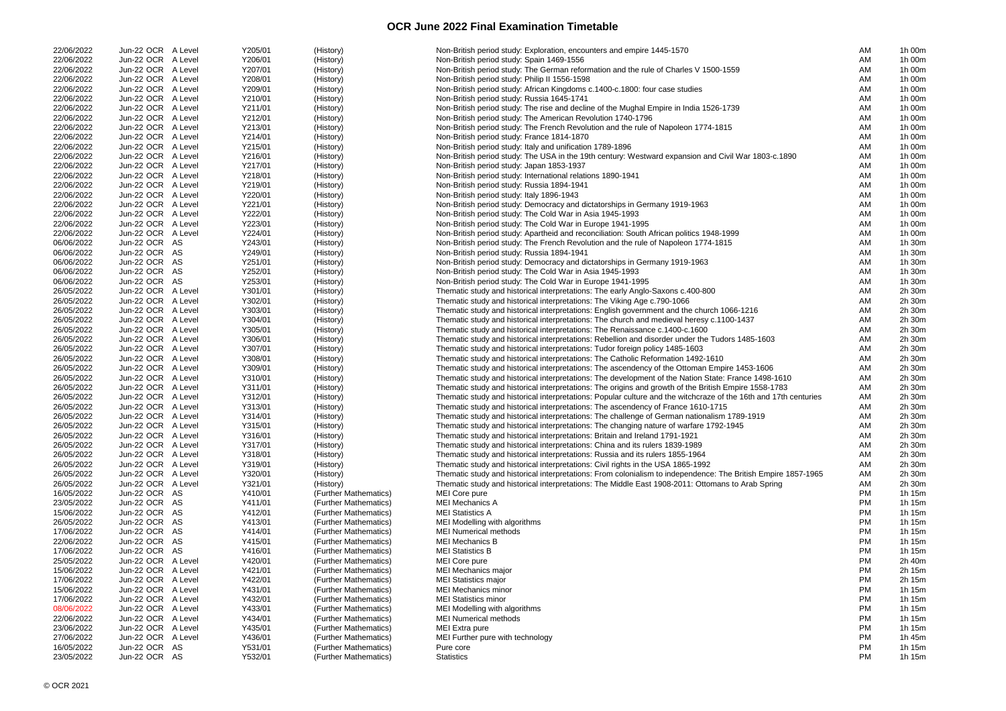| 22/06/2022 | Jun-22 OCR A Level | Y205/01 | (History)             | Non-British period study: Exploration, encounters and empire 1445-1570                                           | AM | 1h 00m |
|------------|--------------------|---------|-----------------------|------------------------------------------------------------------------------------------------------------------|----|--------|
| 22/06/2022 | Jun-22 OCR A Level | Y206/01 | (History)             | Non-British period study: Spain 1469-1556                                                                        | AM | 1h 00m |
| 22/06/2022 | Jun-22 OCR A Level | Y207/01 | (History)             | Non-British period study: The German reformation and the rule of Charles V 1500-1559                             | AM | 1h 00m |
| 22/06/2022 | Jun-22 OCR A Level | Y208/01 | (History)             | Non-British period study: Philip II 1556-1598                                                                    | AM | 1h 00m |
| 22/06/2022 | Jun-22 OCR A Level | Y209/01 | (History)             | Non-British period study: African Kingdoms c.1400-c.1800: four case studies                                      | AM | 1h 00m |
|            |                    |         |                       |                                                                                                                  |    |        |
| 22/06/2022 | Jun-22 OCR A Level | Y210/01 | (History)             | Non-British period study: Russia 1645-1741                                                                       | AM | 1h 00m |
| 22/06/2022 | Jun-22 OCR A Level | Y211/01 | (History)             | Non-British period study: The rise and decline of the Mughal Empire in India 1526-1739                           | AM | 1h 00m |
| 22/06/2022 | Jun-22 OCR A Level | Y212/01 | (History)             | Non-British period study: The American Revolution 1740-1796                                                      | AM | 1h 00m |
| 22/06/2022 | Jun-22 OCR A Level | Y213/01 | (History)             | Non-British period study: The French Revolution and the rule of Napoleon 1774-1815                               | AM | 1h 00m |
| 22/06/2022 | Jun-22 OCR A Level | Y214/01 | (History)             | Non-British period study: France 1814-1870                                                                       | AM | 1h 00m |
|            |                    |         |                       |                                                                                                                  |    |        |
| 22/06/2022 | Jun-22 OCR A Level | Y215/01 | (History)             | Non-British period study: Italy and unification 1789-1896                                                        | AM | 1h 00m |
| 22/06/2022 | Jun-22 OCR A Level | Y216/01 | (History)             | Non-British period study: The USA in the 19th century: Westward expansion and Civil War 1803-c.1890              | AM | 1h 00m |
| 22/06/2022 | Jun-22 OCR A Level | Y217/01 | (History)             | Non-British period study: Japan 1853-1937                                                                        | AM | 1h 00m |
| 22/06/2022 | Jun-22 OCR A Level | Y218/01 | (History)             | Non-British period study: International relations 1890-1941                                                      | AM | 1h 00m |
| 22/06/2022 | Jun-22 OCR A Level | Y219/01 | (History)             | Non-British period study: Russia 1894-1941                                                                       | AM | 1h 00m |
|            |                    |         |                       |                                                                                                                  |    |        |
| 22/06/2022 | Jun-22 OCR A Level | Y220/01 | (History)             | Non-British period study: Italy 1896-1943                                                                        | AM | 1h 00m |
| 22/06/2022 | Jun-22 OCR A Level | Y221/01 | (History)             | Non-British period study: Democracy and dictatorships in Germany 1919-1963                                       | AM | 1h 00m |
| 22/06/2022 | Jun-22 OCR A Level | Y222/01 | (History)             | Non-British period study: The Cold War in Asia 1945-1993                                                         | AM | 1h 00m |
| 22/06/2022 | Jun-22 OCR A Level | Y223/01 | (History)             | Non-British period study: The Cold War in Europe 1941-1995                                                       | AM | 1h 00m |
| 22/06/2022 | Jun-22 OCR A Level | Y224/01 | (History)             | Non-British period study: Apartheid and reconciliation: South African politics 1948-1999                         | AM | 1h 00m |
|            |                    |         |                       |                                                                                                                  |    |        |
| 06/06/2022 | Jun-22 OCR AS      | Y243/01 | (History)             | Non-British period study: The French Revolution and the rule of Napoleon 1774-1815                               | AM | 1h 30m |
| 06/06/2022 | Jun-22 OCR AS      | Y249/01 | (History)             | Non-British period study: Russia 1894-1941                                                                       | AM | 1h 30m |
| 06/06/2022 | Jun-22 OCR AS      | Y251/01 | (History)             | Non-British period study: Democracy and dictatorships in Germany 1919-1963                                       | AM | 1h 30m |
| 06/06/2022 | Jun-22 OCR AS      | Y252/01 | (History)             | Non-British period study: The Cold War in Asia 1945-1993                                                         | AM | 1h 30m |
| 06/06/2022 | Jun-22 OCR AS      | Y253/01 | (History)             | Non-British period study: The Cold War in Europe 1941-1995                                                       | AM | 1h 30m |
| 26/05/2022 | Jun-22 OCR A Level | Y301/01 |                       |                                                                                                                  | AM | 2h 30m |
|            |                    |         | (History)             | Thematic study and historical interpretations: The early Anglo-Saxons c.400-800                                  |    |        |
| 26/05/2022 | Jun-22 OCR A Level | Y302/01 | (History)             | Thematic study and historical interpretations: The Viking Age c.790-1066                                         | AM | 2h 30m |
| 26/05/2022 | Jun-22 OCR A Level | Y303/01 | (History)             | Thematic study and historical interpretations: English government and the church 1066-1216                       | AM | 2h 30m |
| 26/05/2022 | Jun-22 OCR A Level | Y304/01 | (History)             | Thematic study and historical interpretations: The church and medieval heresy c.1100-1437                        | AM | 2h 30m |
| 26/05/2022 | Jun-22 OCR A Level | Y305/01 | (History)             | Thematic study and historical interpretations: The Renaissance c.1400-c.1600                                     | AM | 2h 30m |
| 26/05/2022 | Jun-22 OCR A Level | Y306/01 | (History)             | Thematic study and historical interpretations: Rebellion and disorder under the Tudors 1485-1603                 | AM | 2h 30m |
| 26/05/2022 | Jun-22 OCR A Level |         |                       |                                                                                                                  |    |        |
|            |                    | Y307/01 | (History)             | Thematic study and historical interpretations: Tudor foreign policy 1485-1603                                    | AM | 2h 30m |
| 26/05/2022 | Jun-22 OCR A Level | Y308/01 | (History)             | Thematic study and historical interpretations: The Catholic Reformation 1492-1610                                | AM | 2h 30m |
| 26/05/2022 | Jun-22 OCR A Level | Y309/01 | (History)             | Thematic study and historical interpretations: The ascendency of the Ottoman Empire 1453-1606                    | AM | 2h 30m |
| 26/05/2022 | Jun-22 OCR A Level | Y310/01 | (History)             | Thematic study and historical interpretations: The development of the Nation State: France 1498-1610             | AM | 2h 30m |
| 26/05/2022 | Jun-22 OCR A Level | Y311/01 | (History)             | Thematic study and historical interpretations: The origins and growth of the British Empire 1558-1783            | AM | 2h 30m |
| 26/05/2022 | Jun-22 OCR A Level | Y312/01 |                       | Thematic study and historical interpretations: Popular culture and the witchcraze of the 16th and 17th centuries | AM | 2h 30m |
|            |                    |         | (History)             |                                                                                                                  |    |        |
| 26/05/2022 | Jun-22 OCR A Level | Y313/01 | (History)             | Thematic study and historical interpretations: The ascendency of France 1610-1715                                | AM | 2h 30m |
| 26/05/2022 | Jun-22 OCR A Level | Y314/01 | (History)             | Thematic study and historical interpretations: The challenge of German nationalism 1789-1919                     | AM | 2h 30m |
| 26/05/2022 | Jun-22 OCR A Level | Y315/01 | (History)             | Thematic study and historical interpretations: The changing nature of warfare 1792-1945                          | AM | 2h 30m |
| 26/05/2022 | Jun-22 OCR A Level | Y316/01 | (History)             | Thematic study and historical interpretations: Britain and Ireland 1791-1921                                     | AM | 2h 30m |
| 26/05/2022 | Jun-22 OCR A Level | Y317/01 | (History)             | Thematic study and historical interpretations: China and its rulers 1839-1989                                    | AM | 2h 30m |
|            |                    |         |                       |                                                                                                                  |    |        |
| 26/05/2022 | Jun-22 OCR A Level | Y318/01 | (History)             | Thematic study and historical interpretations: Russia and its rulers 1855-1964                                   | AM | 2h 30m |
| 26/05/2022 | Jun-22 OCR A Level | Y319/01 | (History)             | Thematic study and historical interpretations: Civil rights in the USA 1865-1992                                 | AM | 2h 30m |
| 26/05/2022 | Jun-22 OCR A Level | Y320/01 | (History)             | Thematic study and historical interpretations: From colonialism to independence: The British Empire 1857-1965    | AM | 2h 30m |
| 26/05/2022 | Jun-22 OCR A Level | Y321/01 | (History)             | Thematic study and historical interpretations: The Middle East 1908-2011: Ottomans to Arab Spring                | AM | 2h 30m |
| 16/05/2022 | Jun-22 OCR AS      | Y410/01 | (Further Mathematics) | MEI Core pure                                                                                                    | PM | 1h 15m |
| 23/05/2022 | Jun-22 OCR AS      | Y411/01 | (Further Mathematics) | <b>MEI Mechanics A</b>                                                                                           | PM | 1h 15m |
|            |                    |         |                       |                                                                                                                  |    |        |
| 15/06/2022 | Jun-22 OCR AS      | Y412/01 | (Further Mathematics) | <b>MEI Statistics A</b>                                                                                          | PM | 1h 15m |
| 26/05/2022 | Jun-22 OCR AS      | Y413/01 | (Further Mathematics) | MEI Modelling with algorithms                                                                                    | PM | 1h 15m |
| 17/06/2022 | Jun-22 OCR AS      | Y414/01 | (Further Mathematics) | <b>MEI Numerical methods</b>                                                                                     | PM | 1h 15m |
| 22/06/2022 | Jun-22 OCR AS      | Y415/01 | (Further Mathematics) | <b>MEI Mechanics B</b>                                                                                           | PM | 1h 15m |
| 17/06/2022 | Jun-22 OCR AS      | Y416/01 | (Further Mathematics) | <b>MEI Statistics B</b>                                                                                          | PM | 1h 15m |
| 25/05/2022 | Jun-22 OCR A Level | Y420/01 | (Further Mathematics) | MEI Core pure                                                                                                    | PM | 2h 40m |
|            |                    |         |                       |                                                                                                                  |    |        |
| 15/06/2022 | Jun-22 OCR A Level | Y421/01 | (Further Mathematics) | MEI Mechanics major                                                                                              | PM | 2h 15m |
| 17/06/2022 | Jun-22 OCR A Level | Y422/01 | (Further Mathematics) | <b>MEI Statistics major</b>                                                                                      | PM | 2h 15m |
| 15/06/2022 | Jun-22 OCR A Level | Y431/01 | (Further Mathematics) | MEI Mechanics minor                                                                                              | PM | 1h 15m |
| 17/06/2022 | Jun-22 OCR A Level | Y432/01 | (Further Mathematics) | <b>MEI Statistics minor</b>                                                                                      | PM | 1h 15m |
| 08/06/2022 | Jun-22 OCR A Level | Y433/01 | (Further Mathematics) | MEI Modelling with algorithms                                                                                    | PM | 1h 15m |
|            |                    |         |                       |                                                                                                                  |    |        |
| 22/06/2022 | Jun-22 OCR A Level | Y434/01 | (Further Mathematics) | <b>MEI Numerical methods</b>                                                                                     | PM | 1h 15m |
| 23/06/2022 | Jun-22 OCR A Level | Y435/01 | (Further Mathematics) | MEI Extra pure                                                                                                   | PM | 1h 15m |
| 27/06/2022 | Jun-22 OCR A Level | Y436/01 | (Further Mathematics) | MEI Further pure with technology                                                                                 | PM | 1h 45m |
| 16/05/2022 | Jun-22 OCR AS      | Y531/01 | (Further Mathematics) | Pure core                                                                                                        | PM | 1h 15m |
| 23/05/2022 | Jun-22 OCR AS      | Y532/01 | (Further Mathematics) | <b>Statistics</b>                                                                                                | PM | 1h 15m |
|            |                    |         |                       |                                                                                                                  |    |        |